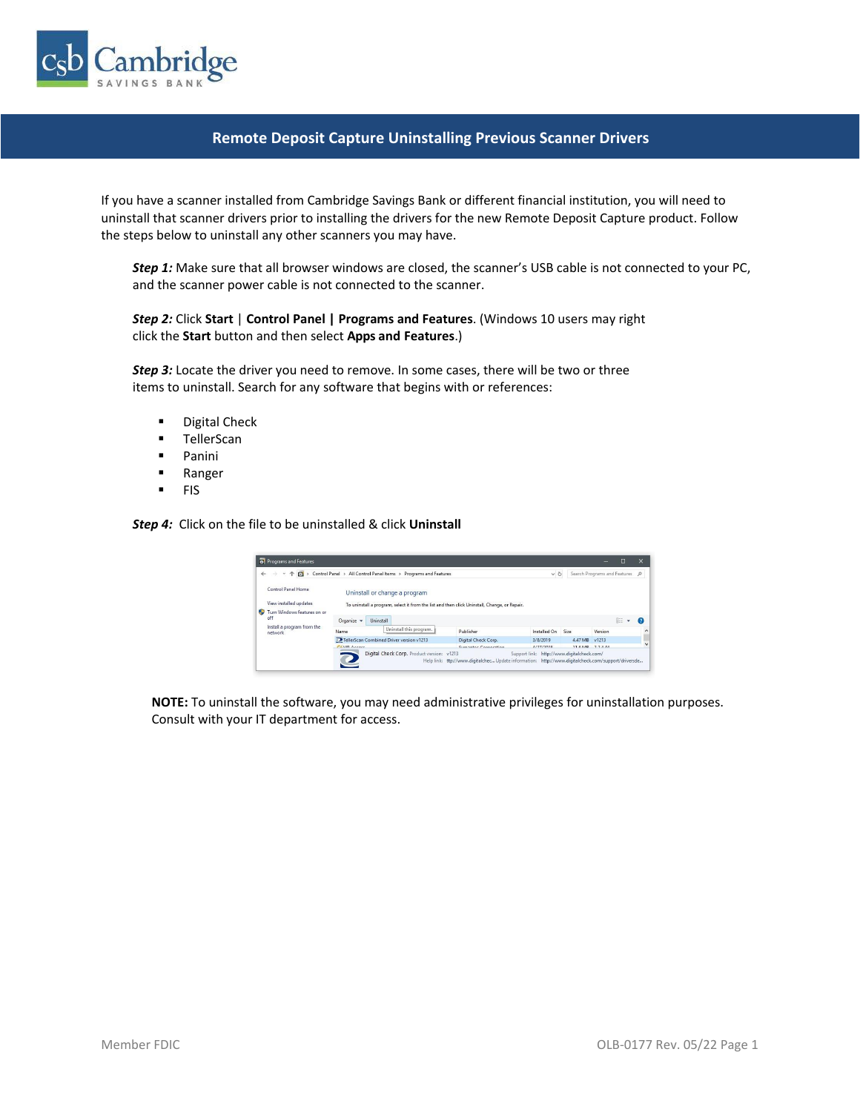

## **Remote Deposit Capture Uninstalling Previous Scanner Drivers**

If you have a scanner installed from Cambridge Savings Bank or different financial institution, you will need to uninstall that scanner drivers prior to installing the drivers for the new Remote Deposit Capture product. Follow the steps below to uninstall any other scanners you may have.

*Step 1:* Make sure that all browser windows are closed, the scanner's USB cable is not connected to your PC, and the scanner power cable is not connected to the scanner.

*Step 2:* Click **Start** | **Control Panel | Programs and Features**. (Windows 10 users may right click the **Start** button and then select **Apps and Features**.)

*Step 3:* Locate the driver you need to remove. In some cases, there will be two or three items to uninstall. Search for any software that begins with or references:

- Digital Check
- TellerScan
- Panini
- Ranger
- FIS

*Step 4:* Click on the file to be uninstalled & click **Uninstall**

| of Programs and Features              |                                                                                              |                                                                                                    |                                            |               |         | E                              |                     |
|---------------------------------------|----------------------------------------------------------------------------------------------|----------------------------------------------------------------------------------------------------|--------------------------------------------|---------------|---------|--------------------------------|---------------------|
| $\leftarrow$<br>$\rightarrow$         | → ↑ □ > Control Panel > All Control Panel Items ><br>Programs and Features                   |                                                                                                    |                                            |               |         | Search Programs and Features P |                     |
| Control Panel Home                    | Uninstall or change a program                                                                |                                                                                                    |                                            |               |         |                                |                     |
| View installed updates                | To uninstall a program, select it from the list and then click Uninstall, Change, or Repair. |                                                                                                    |                                            |               |         |                                |                     |
| Turn Windows features on or<br>off    |                                                                                              |                                                                                                    |                                            |               |         |                                |                     |
|                                       | Organize -<br>Uninstall                                                                      |                                                                                                    |                                            |               |         | <b>图主 ▼</b>                    |                     |
| Install a program from the<br>network | Uninstall this program.<br>Name                                                              | Publisher                                                                                          | Installed On                               | Size          | Version |                                | $\hat{\phantom{a}}$ |
|                                       | TellerScan Combined Driver version v1213                                                     | Digital Check Corp.                                                                                | 3/8/2019                                   | 4.47 MB v1213 |         |                                |                     |
|                                       | $FAUB$ Assess                                                                                | Computer Compution                                                                                 | 1/27/2010                                  | 116540 22444  |         |                                | $\checkmark$        |
|                                       | Digital Check Corp. Product version: v1213                                                   | Help link: ttp://www.digitalchec Update information: http://www.digitalcheck.com/support/driversde | Support link: http://www.digitalcheck.com/ |               |         |                                |                     |

**NOTE:** To uninstall the software, you may need administrative privileges for uninstallation purposes. Consult with your IT department for access.